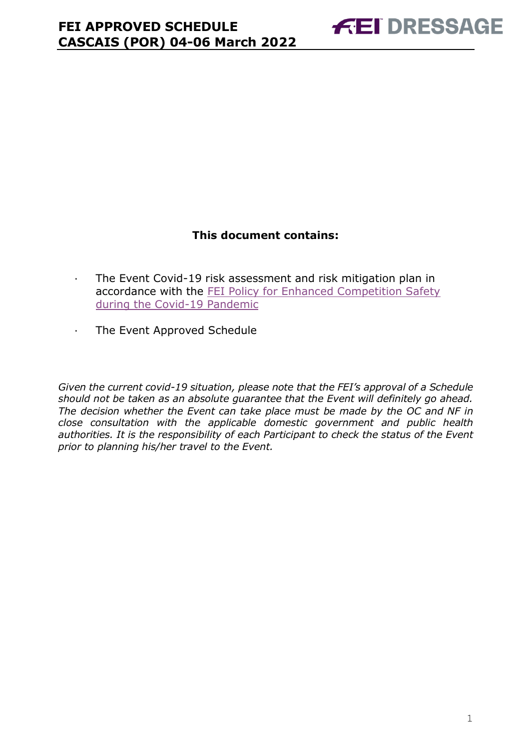### **This document contains:**

- <span id="page-0-0"></span>· The Event Covid-19 risk assessment and risk mitigation plan in accordance with the [FEI Policy for Enhanced Competition Safety](https://inside.fei.org/fei/covid-19/return-to-play)  [during the Covid-19 Pandemic](https://inside.fei.org/fei/covid-19/return-to-play)
- · The Event Approved Schedule

*Given the current covid-19 situation, please note that the FEI's approval of a Schedule should not be taken as an absolute guarantee that the Event will definitely go ahead. The decision whether the Event can take place must be made by the OC and NF in close consultation with the applicable domestic government and public health authorities. It is the responsibility of each Participant to check the status of the Event prior to planning his/her travel to the Event.*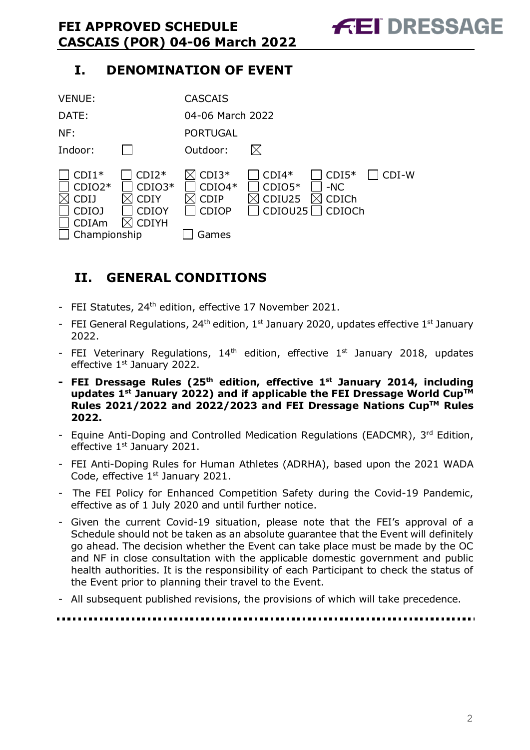# **I. DENOMINATION OF EVENT**

| <b>VENUE:</b>                                                                      |                                                                    | <b>CASCAIS</b>                                              |                                          |                                     |         |
|------------------------------------------------------------------------------------|--------------------------------------------------------------------|-------------------------------------------------------------|------------------------------------------|-------------------------------------|---------|
| DATE:                                                                              |                                                                    | 04-06 March 2022                                            |                                          |                                     |         |
| NF:                                                                                |                                                                    | <b>PORTUGAL</b>                                             |                                          |                                     |         |
| Indoor:                                                                            |                                                                    | Outdoor:                                                    | $\boxtimes$                              |                                     |         |
| $CDI1*$<br>$CDIO2*$<br><b>CDIJ</b><br><b>CDIOJ</b><br><b>CDIAm</b><br>Championship | $CDI2*$<br>$CDIO3*$<br><b>CDIY</b><br><b>CDIOY</b><br><b>CDIYH</b> | $CDI3*$<br>$CDIO4*$<br><b>CDIP</b><br><b>CDIOP</b><br>Games | $CDI4*$<br>$CDIO5*$<br>CDIU25<br>CDIOU25 | $CDI5*$<br>$-NC$<br>CDICh<br>CDIOCh | $CDI-W$ |

# <span id="page-1-0"></span>**II. GENERAL CONDITIONS**

- FEI Statutes, 24<sup>th</sup> edition, effective 17 November 2021.
- FEI General Regulations, 24<sup>th</sup> edition, 1<sup>st</sup> January 2020, updates effective 1<sup>st</sup> January 2022.
- FEI Veterinary Regulations,  $14<sup>th</sup>$  edition, effective  $1<sup>st</sup>$  January 2018, updates effective 1<sup>st</sup> January 2022.
- **- FEI Dressage Rules (25 th edition, effective 1st January 2014, including updates 1 st January 2022) and if applicable the FEI Dressage World CupTM Rules 2021/2022 and 2022/2023 and FEI Dressage Nations CupTM Rules 2022.**
- Equine Anti-Doping and Controlled Medication Regulations (EADCMR), 3rd Edition, effective 1<sup>st</sup> January 2021.
- FEI Anti-Doping Rules for Human Athletes (ADRHA), based upon the 2021 WADA Code, effective  $1<sup>st</sup>$  January 2021.
- The FEI Policy for Enhanced Competition Safety during the Covid-19 Pandemic, effective as of 1 July 2020 and until further notice.
- Given the current Covid-19 situation, please note that the FEI's approval of a Schedule should not be taken as an absolute guarantee that the Event will definitely go ahead. The decision whether the Event can take place must be made by the OC and NF in close consultation with the applicable domestic government and public health authorities. It is the responsibility of each Participant to check the status of the Event prior to planning their travel to the Event.
- All subsequent published revisions, the provisions of which will take precedence.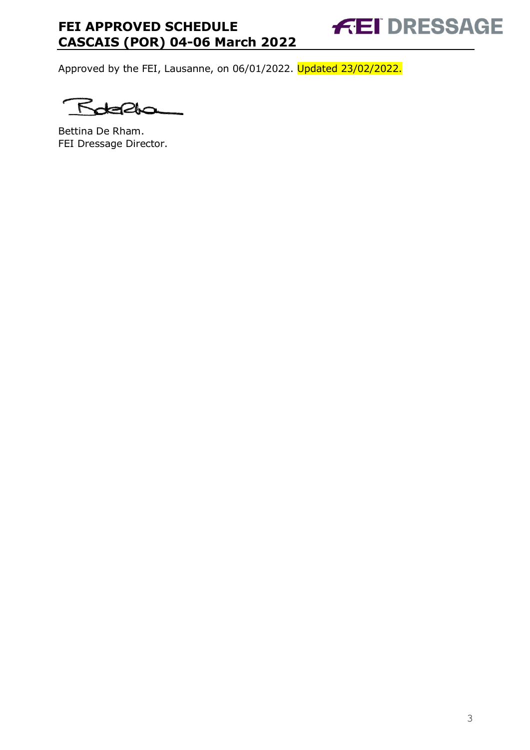Approved by the FEI, Lausanne, on 06/01/2022. Updated 23/02/2022.

۴

Bettina De Rham. FEI Dressage Director.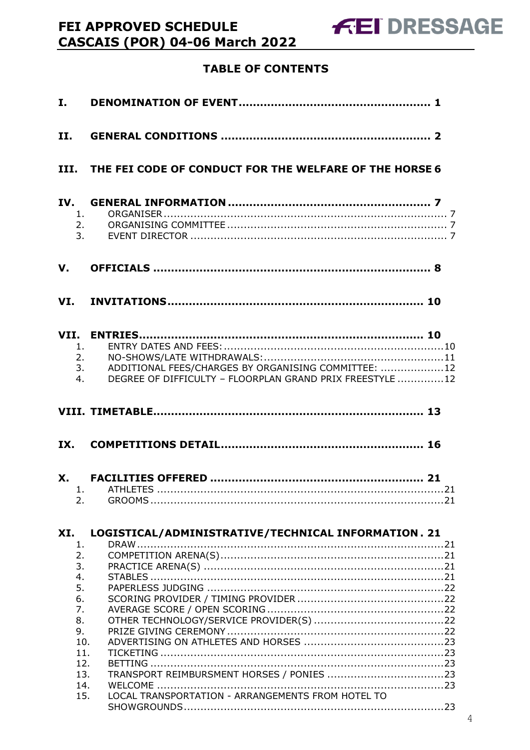# **TABLE OF CONTENTS**

FEI APPROVED SCHEDULE

**CASCAIS (POR) 04-06 March 2022** 

| II.                        |                                                                                                                             |
|----------------------------|-----------------------------------------------------------------------------------------------------------------------------|
|                            | III. THE FEI CODE OF CONDUCT FOR THE WELFARE OF THE HORSE 6                                                                 |
| IV.<br>1.<br>2.<br>3.      |                                                                                                                             |
| $V_{\cdot}$                |                                                                                                                             |
|                            |                                                                                                                             |
| 1.<br>4.                   | 2.<br>ADDITIONAL FEES/CHARGES BY ORGANISING COMMITTEE: 12<br>3.<br>DEGREE OF DIFFICULTY - FLOORPLAN GRAND PRIX FREESTYLE 12 |
|                            |                                                                                                                             |
|                            |                                                                                                                             |
| 2.                         |                                                                                                                             |
| XI.<br>1.<br>2.            | LOGISTICAL/ADMINISTRATIVE/TECHNICAL INFORMATION. 21                                                                         |
| 3.<br>4.<br>5.<br>6.<br>7. |                                                                                                                             |
| 8.<br>9.<br>10.<br>11.     |                                                                                                                             |
| 12.<br>13.<br>14.          |                                                                                                                             |
| 15.                        |                                                                                                                             |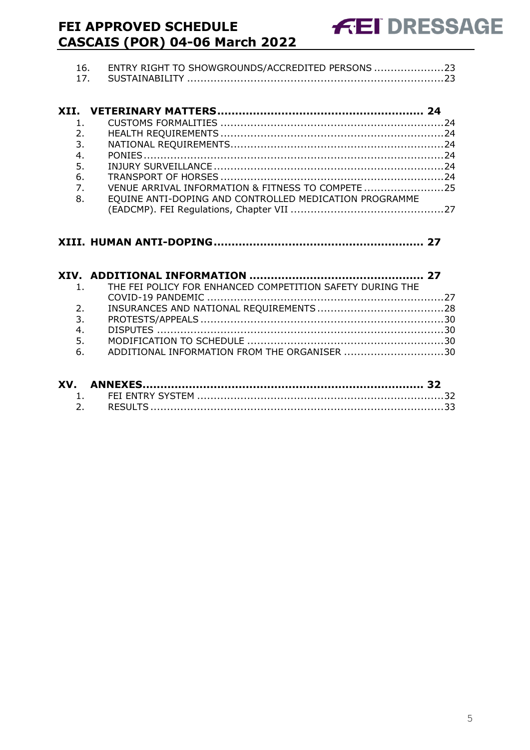| 16. ENTRY RIGHT TO SHOWGROUNDS/ACCREDITED PERSONS |                             |
|---------------------------------------------------|-----------------------------|
|                                                   |                             |
|                                                   |                             |
|                                                   | 2.                          |
|                                                   | $\overline{\phantom{a}}$ 3. |
|                                                   | 4.                          |
|                                                   | 5.                          |
|                                                   |                             |

| 7. | VENUE ARRIVAL INFORMATION & FITNESS TO COMPETE 25      |  |
|----|--------------------------------------------------------|--|
| 8. | EQUINE ANTI-DOPING AND CONTROLLED MEDICATION PROGRAMME |  |
|    |                                                        |  |

|    | 1. THE FEI POLICY FOR ENHANCED COMPETITION SAFETY DURING THE |  |
|----|--------------------------------------------------------------|--|
|    |                                                              |  |
| 2. |                                                              |  |
| 3. |                                                              |  |
| 4. |                                                              |  |
| 5. |                                                              |  |
| 6. | ADDITIONAL INFORMATION FROM THE ORGANISER 30                 |  |
|    |                                                              |  |

| XV. |  |
|-----|--|
|     |  |
|     |  |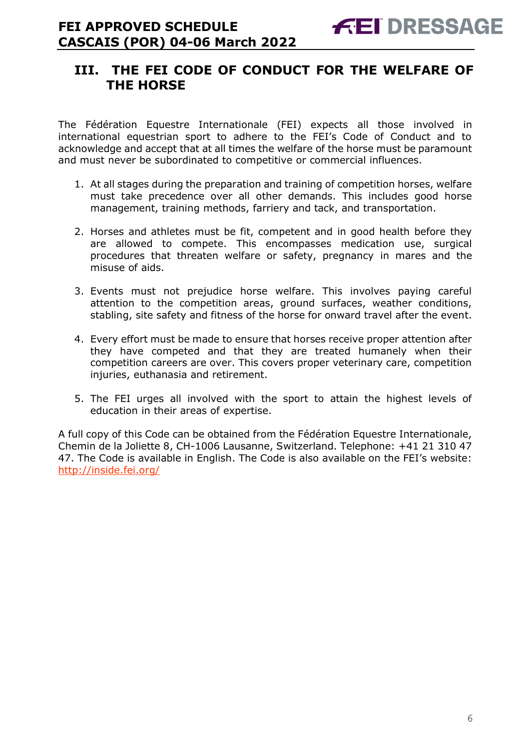# <span id="page-5-0"></span>**III. THE FEI CODE OF CONDUCT FOR THE WELFARE OF THE HORSE**

The Fédération Equestre Internationale (FEI) expects all those involved in international equestrian sport to adhere to the FEI's Code of Conduct and to acknowledge and accept that at all times the welfare of the horse must be paramount and must never be subordinated to competitive or commercial influences.

- 1. At all stages during the preparation and training of competition horses, welfare must take precedence over all other demands. This includes good horse management, training methods, farriery and tack, and transportation.
- 2. Horses and athletes must be fit, competent and in good health before they are allowed to compete. This encompasses medication use, surgical procedures that threaten welfare or safety, pregnancy in mares and the misuse of aids.
- 3. Events must not prejudice horse welfare. This involves paying careful attention to the competition areas, ground surfaces, weather conditions, stabling, site safety and fitness of the horse for onward travel after the event.
- 4. Every effort must be made to ensure that horses receive proper attention after they have competed and that they are treated humanely when their competition careers are over. This covers proper veterinary care, competition injuries, euthanasia and retirement.
- 5. The FEI urges all involved with the sport to attain the highest levels of education in their areas of expertise.

A full copy of this Code can be obtained from the Fédération Equestre Internationale, Chemin de la Joliette 8, CH-1006 Lausanne, Switzerland. Telephone: +41 21 310 47 47. The Code is available in English. The Code is also available on the FEI's website: <http://inside.fei.org/>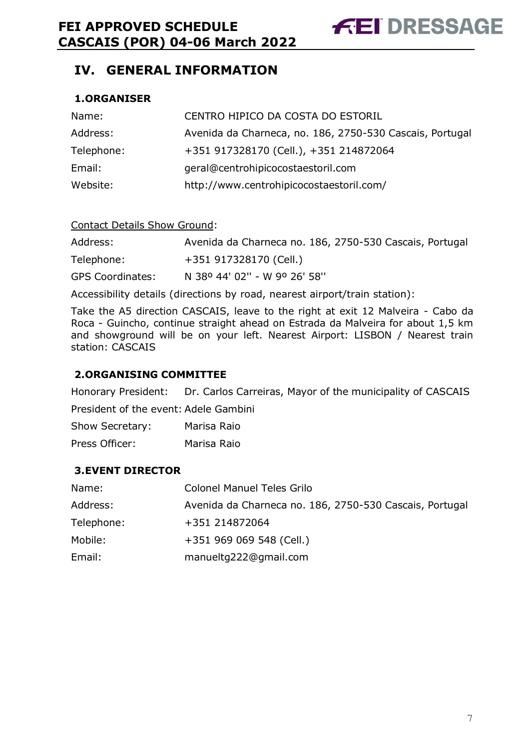# <span id="page-6-0"></span>**IV. GENERAL INFORMATION**

#### <span id="page-6-1"></span>**1.ORGANISER**

| Name:      | CENTRO HIPICO DA COSTA DO ESTORIL                        |
|------------|----------------------------------------------------------|
| Address:   | Avenida da Charneca, no. 186, 2750-530 Cascais, Portugal |
| Telephone: | +351 917328170 (Cell.), +351 214872064                   |
| Email:     | geral@centrohipicocostaestoril.com                       |
| Website:   | http://www.centrohipicocostaestoril.com/                 |

#### Contact Details Show Ground:

| Address:                | Avenida da Charneca no. 186, 2750-530 Cascais, Portugal |
|-------------------------|---------------------------------------------------------|
| Telephone:              | +351 917328170 (Cell.)                                  |
| <b>GPS Coordinates:</b> | N 38º 44' 02" - W 9º 26' 58"                            |

Accessibility details (directions by road, nearest airport/train station):

Take the A5 direction CASCAIS, leave to the right at exit 12 Malveira - Cabo da Roca - Guincho, continue straight ahead on Estrada da Malveira for about 1,5 km and showground will be on your left. Nearest Airport: LISBON / Nearest train station: CASCAIS

#### <span id="page-6-2"></span>**2.ORGANISING COMMITTEE**

Honorary President: Dr. Carlos Carreiras, Mayor of the municipality of CASCAIS President of the event: Adele Gambini

Show Secretary: Marisa Raio Press Officer: Marisa Raio

#### <span id="page-6-3"></span>**3.EVENT DIRECTOR**

| Name:      | <b>Colonel Manuel Teles Grilo</b>                       |
|------------|---------------------------------------------------------|
| Address:   | Avenida da Charneca no. 186, 2750-530 Cascais, Portugal |
| Telephone: | +351 214872064                                          |
| Mobile:    | +351 969 069 548 (Cell.)                                |
| Email:     | manueltg222@gmail.com                                   |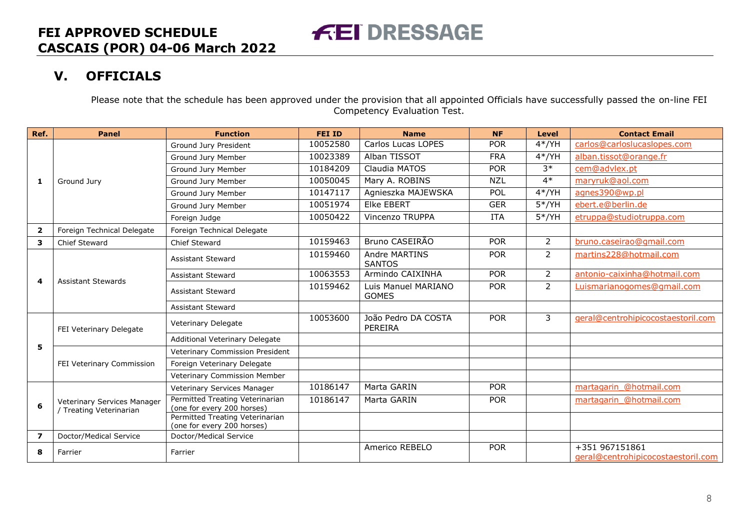# **V. OFFICIALS**

Please note that the schedule has been approved under the provision that all appointed Officials have successfully passed the on-line FEI Competency Evaluation Test.

**FEI DRESSAGE** 

<span id="page-7-0"></span>

| Ref.                    | <b>Panel</b>                                           | <b>Function</b>                                               | <b>FEI ID</b> | <b>Name</b>                         | <b>NF</b>  | <b>Level</b>   | <b>Contact Email</b>                                 |
|-------------------------|--------------------------------------------------------|---------------------------------------------------------------|---------------|-------------------------------------|------------|----------------|------------------------------------------------------|
|                         |                                                        | Ground Jury President                                         | 10052580      | Carlos Lucas LOPES                  | <b>POR</b> | $4*/YH$        | carlos@carloslucaslopes.com                          |
|                         |                                                        | Ground Jury Member                                            | 10023389      | Alban TISSOT                        | <b>FRA</b> | $4*/YH$        | alban.tissot@orange.fr                               |
|                         |                                                        | Ground Jury Member                                            | 10184209      | Claudia MATOS                       | <b>POR</b> | $3*$           | cem@advlex.pt                                        |
| 1                       | Ground Jury                                            | Ground Jury Member                                            | 10050045      | Mary A. ROBINS                      | <b>NZL</b> | $4*$           | maryruk@aol.com                                      |
|                         |                                                        | Ground Jury Member                                            | 10147117      | Agnieszka MAJEWSKA                  | POL        | $4*/YH$        | agnes390@wp.pl                                       |
|                         |                                                        | Ground Jury Member                                            | 10051974      | <b>Elke EBERT</b>                   | <b>GER</b> | $5*/YH$        | ebert.e@berlin.de                                    |
|                         |                                                        | Foreign Judge                                                 | 10050422      | Vincenzo TRUPPA                     | ITA        | $5*/YH$        | etruppa@studiotruppa.com                             |
| $\overline{\mathbf{2}}$ | Foreign Technical Delegate                             | Foreign Technical Delegate                                    |               |                                     |            |                |                                                      |
| 3                       | Chief Steward                                          | <b>Chief Steward</b>                                          | 10159463      | Bruno CASEIRÃO                      | <b>POR</b> | $\overline{2}$ | bruno.caseirao@gmail.com                             |
|                         |                                                        | <b>Assistant Steward</b>                                      | 10159460      | Andre MARTINS<br><b>SANTOS</b>      | <b>POR</b> | $\overline{2}$ | martins228@hotmail.com                               |
|                         | <b>Assistant Stewards</b>                              | Assistant Steward                                             | 10063553      | Armindo CAIXINHA                    | <b>POR</b> | $\overline{2}$ | antonio-caixinha@hotmail.com                         |
| 4                       |                                                        | <b>Assistant Steward</b>                                      | 10159462      | Luis Manuel MARIANO<br><b>GOMES</b> | <b>POR</b> | $\overline{2}$ | Luismarianogomes@gmail.com                           |
|                         |                                                        | <b>Assistant Steward</b>                                      |               |                                     |            |                |                                                      |
|                         | FEI Veterinary Delegate                                | Veterinary Delegate                                           | 10053600      | João Pedro DA COSTA<br>PEREIRA      | <b>POR</b> | 3              | geral@centrohipicocostaestoril.com                   |
|                         |                                                        | Additional Veterinary Delegate                                |               |                                     |            |                |                                                      |
| 5                       |                                                        | Veterinary Commission President                               |               |                                     |            |                |                                                      |
|                         | FEI Veterinary Commission                              | Foreign Veterinary Delegate                                   |               |                                     |            |                |                                                      |
|                         |                                                        | Veterinary Commission Member                                  |               |                                     |            |                |                                                      |
|                         |                                                        | Veterinary Services Manager                                   | 10186147      | Marta GARIN                         | <b>POR</b> |                | martagarin @hotmail.com                              |
| 6                       | Veterinary Services Manager<br>/ Treating Veterinarian | Permitted Treating Veterinarian<br>(one for every 200 horses) | 10186147      | Marta GARIN                         | <b>POR</b> |                | martagarin @hotmail.com                              |
|                         |                                                        | Permitted Treating Veterinarian<br>(one for every 200 horses) |               |                                     |            |                |                                                      |
| $\overline{\mathbf{z}}$ | Doctor/Medical Service                                 | Doctor/Medical Service                                        |               |                                     |            |                |                                                      |
| 8                       | Farrier                                                | Farrier                                                       |               | Americo REBELO                      | <b>POR</b> |                | +351 967151861<br>geral@centrohipicocostaestoril.com |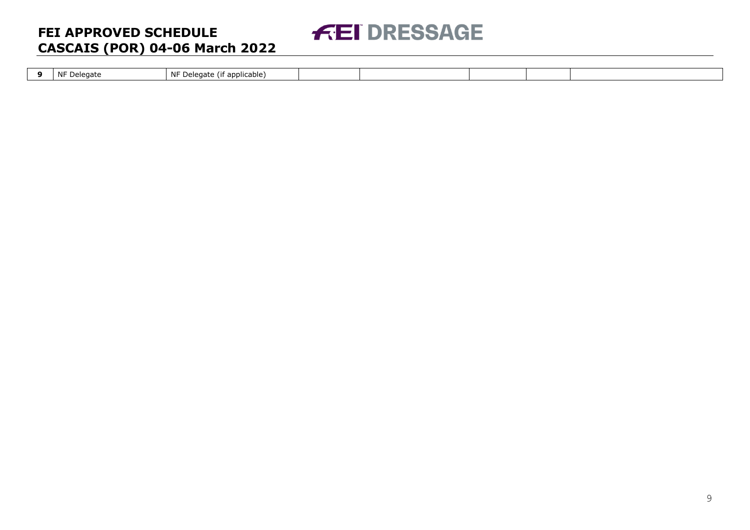

| NF Delegate | .<br>$\mathbf{A}$<br>NF Delegate<br><sup>-</sup> applicable) |  |  |  |
|-------------|--------------------------------------------------------------|--|--|--|
|             |                                                              |  |  |  |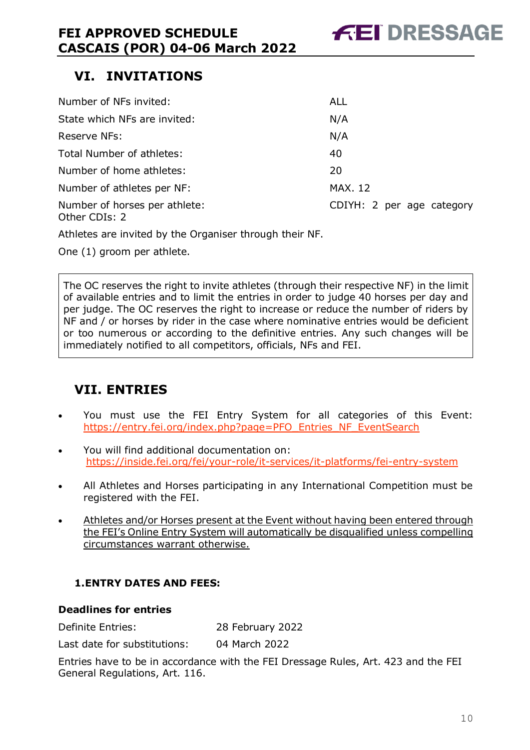# <span id="page-9-0"></span>**VI. INVITATIONS**

| Number of NFs invited:                         | ALL                       |
|------------------------------------------------|---------------------------|
| State which NFs are invited:                   | N/A                       |
| Reserve NFs:                                   | N/A                       |
| Total Number of athletes:                      | 40                        |
| Number of home athletes:                       | 20                        |
| Number of athletes per NF:                     | <b>MAX. 12</b>            |
| Number of horses per athlete:<br>Other CDIs: 2 | CDIYH: 2 per age category |

Athletes are invited by the Organiser through their NF.

One (1) groom per athlete.

The OC reserves the right to invite athletes (through their respective NF) in the limit of available entries and to limit the entries in order to judge 40 horses per day and per judge. The OC reserves the right to increase or reduce the number of riders by NF and / or horses by rider in the case where nominative entries would be deficient or too numerous or according to the definitive entries. Any such changes will be immediately notified to all competitors, officials, NFs and FEI.

# <span id="page-9-1"></span>**VII. ENTRIES**

- You must use the FEI Entry System for all categories of this Event: [https://entry.fei.org/index.php?page=PFO\\_Entries\\_NF\\_EventSearch](https://entry.fei.org/index.php?page=PFO_Entries_NF_EventSearch)
- You will find additional documentation on: <https://inside.fei.org/fei/your-role/it-services/it-platforms/fei-entry-system>
- All Athletes and Horses participating in any International Competition must be registered with the FEI.
- Athletes and/or Horses present at the Event without having been entered through the FEI's Online Entry System will automatically be disqualified unless compelling circumstances warrant otherwise.

#### <span id="page-9-2"></span>**1.ENTRY DATES AND FEES:**

#### **Deadlines for entries**

Definite Entries: 28 February 2022

Last date for substitutions: 04 March 2022

Entries have to be in accordance with the FEI Dressage Rules, Art. 423 and the FEI General Regulations, Art. 116.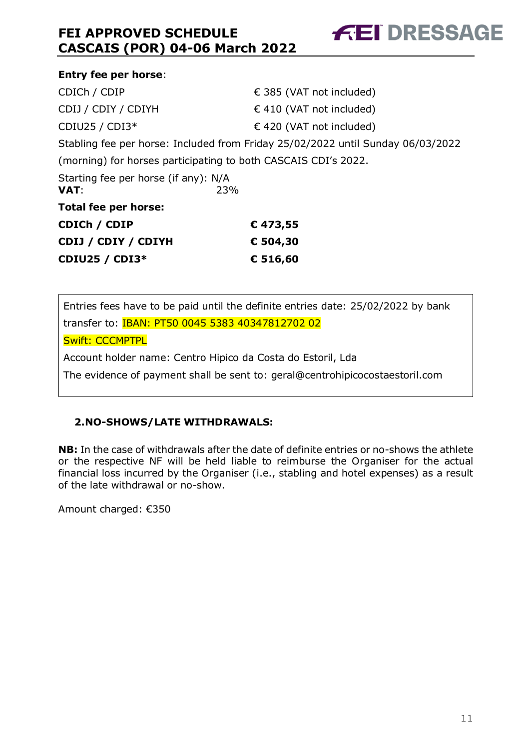| <b>Entry fee per horse:</b>                  |                                                                                 |
|----------------------------------------------|---------------------------------------------------------------------------------|
| CDICh / CDIP                                 | € 385 (VAT not included)                                                        |
| CDIJ / CDIY / CDIYH                          | $\in$ 410 (VAT not included)                                                    |
| CDIU25 / CDI3*                               | € 420 (VAT not included)                                                        |
|                                              | Stabling fee per horse: Included from Friday 25/02/2022 until Sunday 06/03/2022 |
|                                              | (morning) for horses participating to both CASCAIS CDI's 2022.                  |
| Starting fee per horse (if any): N/A<br>VAT: | 23%                                                                             |
| <b>Total fee per horse:</b>                  |                                                                                 |
| CDICh / CDIP                                 | €473,55                                                                         |
| CDIJ / CDIY / CDIYH                          | € 504,30                                                                        |
| <b>CDIU25 / CDI3*</b>                        | € 516,60                                                                        |

**FEI DRESSAGE** 

Entries fees have to be paid until the definite entries date: 25/02/2022 by bank transfer to: IBAN: PT50 0045 5383 40347812702 02

Swift: CCCMPTPL

Account holder name: Centro Hipico da Costa do Estoril, Lda

The evidence of payment shall be sent to: geral@centrohipicocostaestoril.com

#### <span id="page-10-0"></span>**2.NO-SHOWS/LATE WITHDRAWALS:**

**NB:** In the case of withdrawals after the date of definite entries or no-shows the athlete or the respective NF will be held liable to reimburse the Organiser for the actual financial loss incurred by the Organiser (i.e., stabling and hotel expenses) as a result of the late withdrawal or no-show.

Amount charged: €350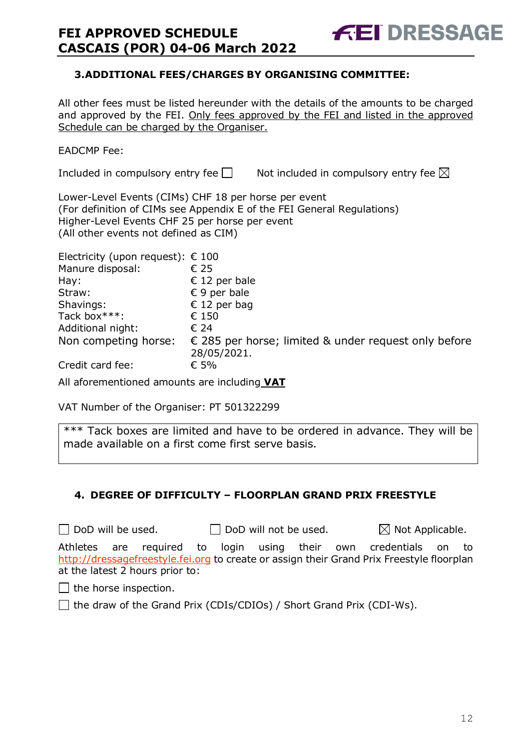#### <span id="page-11-0"></span>**3.ADDITIONAL FEES/CHARGES BY ORGANISING COMMITTEE:**

All other fees must be listed hereunder with the details of the amounts to be charged and approved by the FEI. Only fees approved by the FEI and listed in the approved Schedule can be charged by the Organiser.

#### EADCMP Fee:

Included in compulsory entry fee  $\square$  Not included in compulsory entry fee  $\square$ 

**FEI DRESSAGE** 

Lower-Level Events (CIMs) CHF 18 per horse per event (For definition of CIMs see Appendix E of the FEI General Regulations) Higher-Level Events CHF 25 per horse per event (All other events not defined as CIM)

| Electricity (upon request): $\epsilon$ 100 |                                                                              |
|--------------------------------------------|------------------------------------------------------------------------------|
| Manure disposal:                           | € 25                                                                         |
| Hay:                                       | € 12 per bale                                                                |
| Straw:                                     | $\epsilon$ 9 per bale                                                        |
| Shavings:                                  | € 12 per bag                                                                 |
| Tack box***:                               | € 150                                                                        |
| Additional night:                          | € 24                                                                         |
| Non competing horse:                       | $\epsilon$ 285 per horse; limited & under request only before<br>28/05/2021. |
| Credit card fee:                           | € 5%                                                                         |

All aforementioned amounts are including **VAT**

VAT Number of the Organiser: PT 501322299

\*\*\* Tack boxes are limited and have to be ordered in advance. They will be made available on a first come first serve basis.

### <span id="page-11-1"></span>**4. DEGREE OF DIFFICULTY – FLOORPLAN GRAND PRIX FREESTYLE**

 $\Box$  DoD will be used.  $\Box$  DoD will not be used.  $\boxtimes$  Not Applicable.

Athletes are required to login using their own credentials on to [http://dressagefreestyle.fei.org](http://dressagefreestyle.fei.org/) to create or assign their Grand Prix Freestyle floorplan at the latest 2 hours prior to:

 $\Box$  the horse inspection.

 $\Box$  the draw of the Grand Prix (CDIs/CDIOs) / Short Grand Prix (CDI-Ws).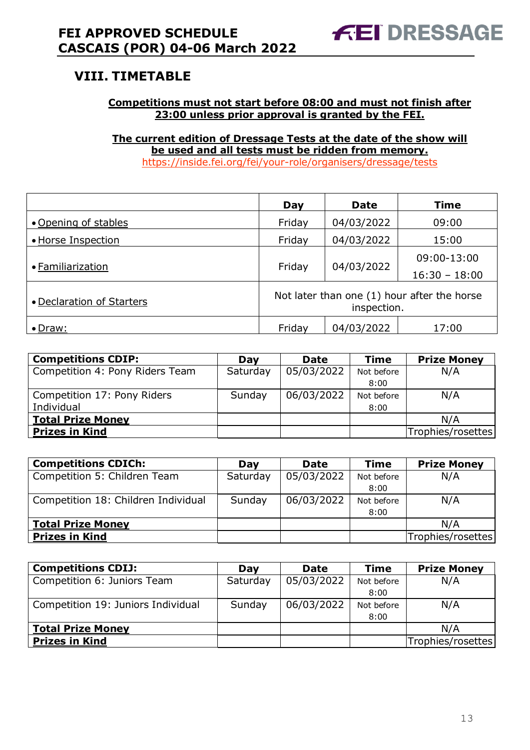# <span id="page-12-0"></span>**VIII. TIMETABLE**

#### **Competitions must not start before 08:00 and must not finish after 23:00 unless prior approval is granted by the FEI.**

**The current edition of Dressage Tests at the date of the show will be used and all tests must be ridden from memory.** <https://inside.fei.org/fei/your-role/organisers/dressage/tests>

|                           | Day                                                        | <b>Date</b> | <b>Time</b>     |  |  |
|---------------------------|------------------------------------------------------------|-------------|-----------------|--|--|
| • Opening of stables      | Friday                                                     | 04/03/2022  | 09:00           |  |  |
| • Horse Inspection        | Friday                                                     | 04/03/2022  | 15:00           |  |  |
| • Familiarization         | Friday                                                     |             | 09:00-13:00     |  |  |
|                           |                                                            | 04/03/2022  | $16:30 - 18:00$ |  |  |
| • Declaration of Starters | Not later than one (1) hour after the horse<br>inspection. |             |                 |  |  |
| • Draw:                   | Friday                                                     | 04/03/2022  | 17:00           |  |  |

| <b>Competitions CDIP:</b>       | Day      | <b>Date</b> | <b>Time</b> | <b>Prize Money</b> |
|---------------------------------|----------|-------------|-------------|--------------------|
| Competition 4: Pony Riders Team | Saturday | 05/03/2022  | Not before  | N/A                |
|                                 |          |             | 8:00        |                    |
| Competition 17: Pony Riders     | Sunday   | 06/03/2022  | Not before  | N/A                |
| Individual                      |          |             | 8:00        |                    |
| <b>Total Prize Money</b>        |          |             |             | N/A                |
| <b>Prizes in Kind</b>           |          |             |             | Trophies/rosettes  |

| <b>Competitions CDICh:</b>          | Dav      | <b>Date</b> | <b>Time</b> | <b>Prize Money</b> |
|-------------------------------------|----------|-------------|-------------|--------------------|
| Competition 5: Children Team        | Saturday | 05/03/2022  | Not before  | N/A                |
|                                     |          |             | 8:00        |                    |
| Competition 18: Children Individual | Sunday   | 06/03/2022  | Not before  | N/A                |
|                                     |          |             | 8:00        |                    |
| <b>Total Prize Money</b>            |          |             |             | N/A                |
| <b>Prizes in Kind</b>               |          |             |             | Trophies/rosettes  |

| <b>Competitions CDIJ:</b>          | Day      | <b>Date</b> | <b>Time</b> | <b>Prize Money</b> |
|------------------------------------|----------|-------------|-------------|--------------------|
| Competition 6: Juniors Team        | Saturday | 05/03/2022  | Not before  | N/A                |
|                                    |          |             | 8:00        |                    |
| Competition 19: Juniors Individual | Sunday   | 06/03/2022  | Not before  | N/A                |
|                                    |          |             | 8:00        |                    |
| <b>Total Prize Money</b>           |          |             |             | N/A                |
| <b>Prizes in Kind</b>              |          |             |             | Trophies/rosettes  |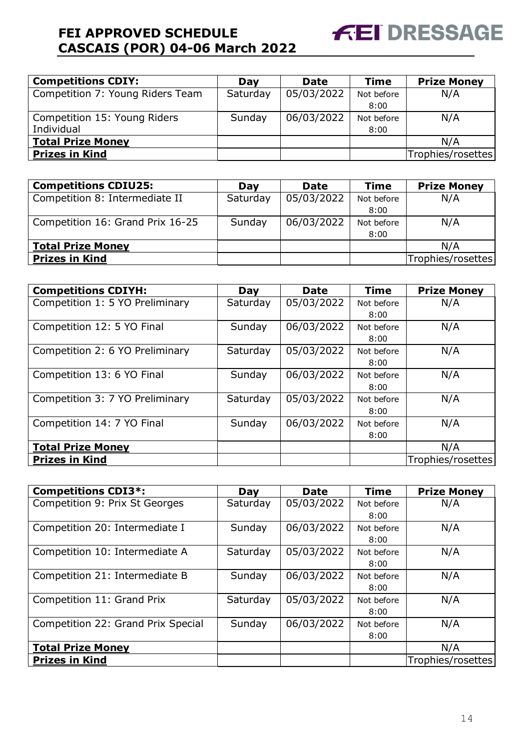

| <b>Competitions CDIY:</b>        | Day      | <b>Date</b> | <b>Time</b> | <b>Prize Money</b> |
|----------------------------------|----------|-------------|-------------|--------------------|
| Competition 7: Young Riders Team | Saturday | 05/03/2022  | Not before  | N/A                |
|                                  |          |             | 8:00        |                    |
| Competition 15: Young Riders     | Sunday   | 06/03/2022  | Not before  | N/A                |
| Individual                       |          |             | 8:00        |                    |
| <b>Total Prize Money</b>         |          |             |             | N/A                |
| <b>Prizes in Kind</b>            |          |             |             | Trophies/rosettes  |

| <b>Competitions CDIU25:</b>      | Dav      | Date       | <b>Time</b> | <b>Prize Money</b> |
|----------------------------------|----------|------------|-------------|--------------------|
| Competition 8: Intermediate II   | Saturday | 05/03/2022 | Not before  | N/A                |
|                                  |          |            | 8:00        |                    |
| Competition 16: Grand Prix 16-25 | Sunday   | 06/03/2022 | Not before  | N/A                |
|                                  |          |            | 8:00        |                    |
| <b>Total Prize Money</b>         |          |            |             | N/A                |
| <b>Prizes in Kind</b>            |          |            |             | Trophies/rosettes  |

| <b>Competitions CDIYH:</b>      | Day      | <b>Date</b> | <b>Time</b> | <b>Prize Money</b> |
|---------------------------------|----------|-------------|-------------|--------------------|
| Competition 1: 5 YO Preliminary | Saturday | 05/03/2022  | Not before  | N/A                |
|                                 |          |             | 8:00        |                    |
| Competition 12: 5 YO Final      | Sunday   | 06/03/2022  | Not before  | N/A                |
|                                 |          |             | 8:00        |                    |
| Competition 2: 6 YO Preliminary | Saturday | 05/03/2022  | Not before  | N/A                |
|                                 |          |             | 8:00        |                    |
| Competition 13: 6 YO Final      | Sunday   | 06/03/2022  | Not before  | N/A                |
|                                 |          |             | 8:00        |                    |
| Competition 3: 7 YO Preliminary | Saturday | 05/03/2022  | Not before  | N/A                |
|                                 |          |             | 8:00        |                    |
| Competition 14: 7 YO Final      | Sunday   | 06/03/2022  | Not before  | N/A                |
|                                 |          |             | 8:00        |                    |
| <b>Total Prize Money</b>        |          |             |             | N/A                |
| <b>Prizes in Kind</b>           |          |             |             | Trophies/rosettes  |

| <b>Competitions CDI3*:</b>         | Day      | <b>Date</b> | <b>Time</b> | <b>Prize Money</b> |
|------------------------------------|----------|-------------|-------------|--------------------|
| Competition 9: Prix St Georges     | Saturday | 05/03/2022  | Not before  | N/A                |
|                                    |          |             | 8:00        |                    |
| Competition 20: Intermediate I     | Sunday   | 06/03/2022  | Not before  | N/A                |
|                                    |          |             | 8:00        |                    |
| Competition 10: Intermediate A     | Saturday | 05/03/2022  | Not before  | N/A                |
|                                    |          |             | 8:00        |                    |
| Competition 21: Intermediate B     | Sunday   | 06/03/2022  | Not before  | N/A                |
|                                    |          |             | 8:00        |                    |
| Competition 11: Grand Prix         | Saturday | 05/03/2022  | Not before  | N/A                |
|                                    |          |             | 8:00        |                    |
| Competition 22: Grand Prix Special | Sunday   | 06/03/2022  | Not before  | N/A                |
|                                    |          |             | 8:00        |                    |
| <b>Total Prize Money</b>           |          |             |             | N/A                |
| <b>Prizes in Kind</b>              |          |             |             | Trophies/rosettes  |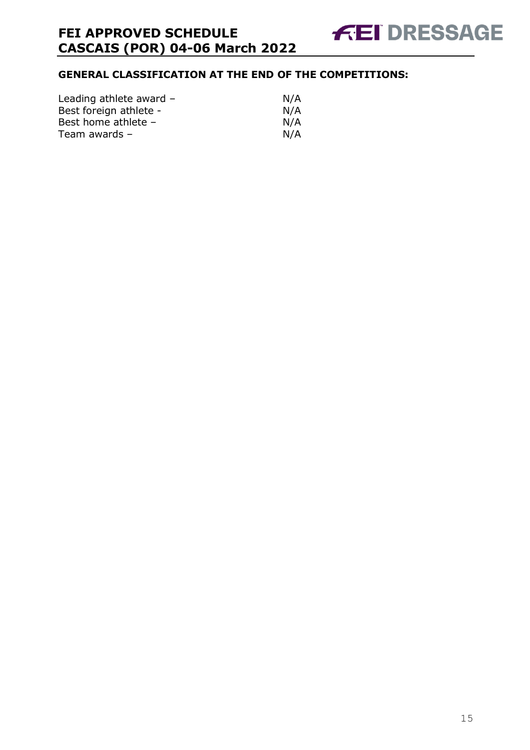### **GENERAL CLASSIFICATION AT THE END OF THE COMPETITIONS:**

| Leading athlete award - | N/A |
|-------------------------|-----|
| Best foreign athlete -  | N/A |
| Best home athlete -     | N/A |
| Team awards $-$         | N/A |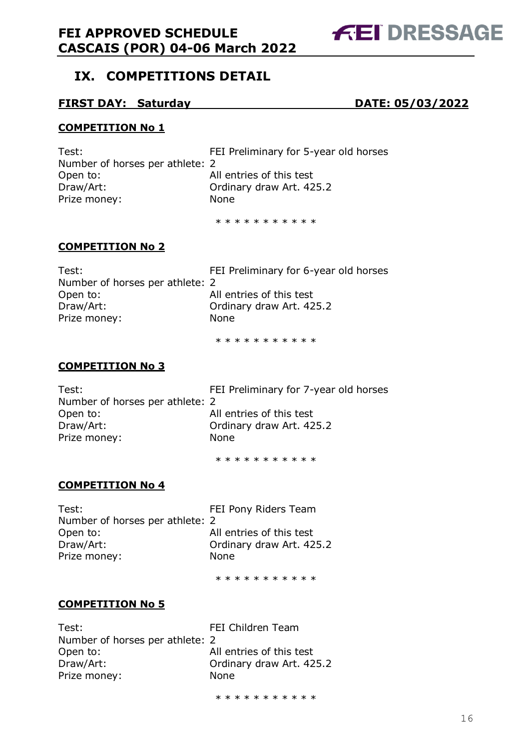# **FEI DRESSAGE**

# <span id="page-15-0"></span>**IX. COMPETITIONS DETAIL**

#### **FIRST DAY: Saturday DATE: 05/03/2022**

#### **COMPETITION No 1**

| Test:                           | FEI Preliminary for 5-year old horses |
|---------------------------------|---------------------------------------|
| Number of horses per athlete: 2 |                                       |
| Open to:                        | All entries of this test              |
| Draw/Art:                       | Ordinary draw Art. 425.2              |
| Prize money:                    | None                                  |
|                                 |                                       |

\* \* \* \* \* \* \* \* \* \*

#### **COMPETITION No 2**

| Test:                           | FEI Preliminary for 6-year old horses |
|---------------------------------|---------------------------------------|
| Number of horses per athlete: 2 |                                       |
| Open to:                        | All entries of this test              |
| Draw/Art:                       | Ordinary draw Art. 425.2              |
| Prize money:                    | None.                                 |
|                                 |                                       |

\* \* \* \* \* \* \* \* \* \*

#### **COMPETITION No 3**

| Test:                           | FEI Preliminary for 7-year old horses |
|---------------------------------|---------------------------------------|
| Number of horses per athlete: 2 |                                       |
| Open to:                        | All entries of this test              |
| Draw/Art:                       | Ordinary draw Art. 425.2              |
| Prize money:                    | None.                                 |
|                                 |                                       |

\* \* \* \* \* \* \* \* \* \* \*

#### **COMPETITION No 4**

| Test:                           | FEI Pony Riders Team     |
|---------------------------------|--------------------------|
| Number of horses per athlete: 2 |                          |
| Open to:                        | All entries of this test |
| Draw/Art:                       | Ordinary draw Art. 425.2 |
| Prize money:                    | <b>None</b>              |
|                                 |                          |

\* \* \* \* \* \* \* \* \* \*

#### **COMPETITION No 5**

| Test:                           |  |
|---------------------------------|--|
| Number of horses per athlete: 2 |  |
| Open to:                        |  |
| Draw/Art:                       |  |
| Prize money:                    |  |

FEI Children Team All entries of this test Ordinary draw Art. 425.2 **None** 

\* \* \* \* \* \* \* \* \* \* \*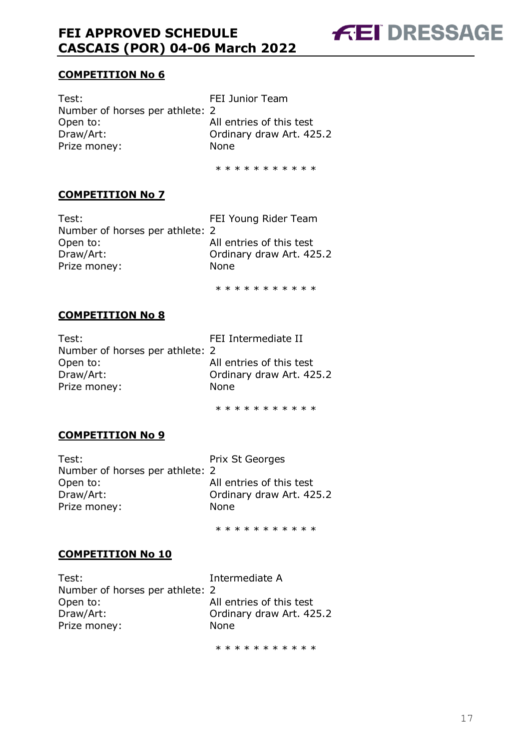

#### **COMPETITION No 6**

Test: Test: FEI Junior Team Number of horses per athlete: 2 Open to: All entries of this test Draw/Art: Ordinary draw Art. 425.2 Prize money: None

\* \* \* \* \* \* \* \* \* \*

#### **COMPETITION No 7**

Test: Test: FEI Young Rider Team Number of horses per athlete: 2 Open to: All entries of this test Draw/Art: Ordinary draw Art. 425.2 Prize money: None

\* \* \* \* \* \* \* \* \* \*

#### **COMPETITION No 8**

| Test:                           | FEI Intermediate II      |
|---------------------------------|--------------------------|
| Number of horses per athlete: 2 |                          |
| Open to:                        | All entries of this test |
| Draw/Art:                       | Ordinary draw Art. 425.2 |
| Prize money:                    | <b>None</b>              |
|                                 |                          |

\* \* \* \* \* \* \* \* \* \*

#### **COMPETITION No 9**

| Test:                           | Prix St Georges          |
|---------------------------------|--------------------------|
| Number of horses per athlete: 2 |                          |
| Open to:                        | All entries of this test |
| Draw/Art:                       | Ordinary draw Art. 425.2 |
| Prize money:                    | <b>None</b>              |
|                                 |                          |

\* \* \* \* \* \* \* \* \* \* \*

#### **COMPETITION No 10**

| Test:                           | Intermediate A           |
|---------------------------------|--------------------------|
| Number of horses per athlete: 2 |                          |
| Open to:                        | All entries of this test |
| Draw/Art:                       | Ordinary draw Art. 425.2 |
| Prize money:                    | <b>None</b>              |
|                                 |                          |

\* \* \* \* \* \* \* \* \* \*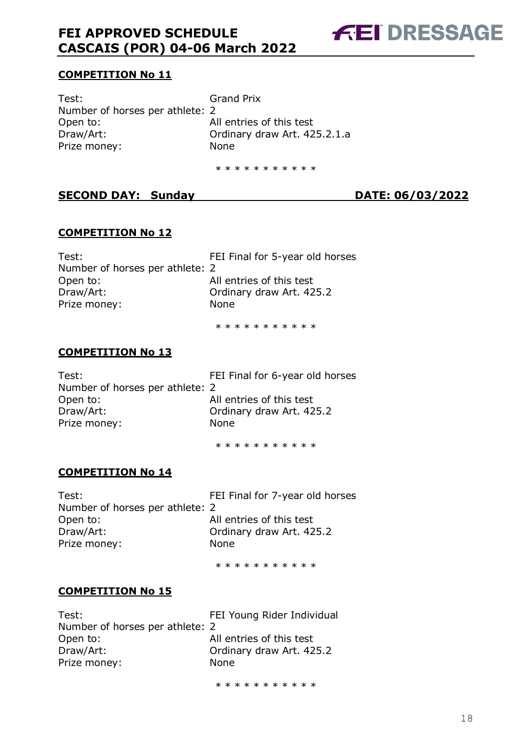**FEI DRESSAGE** 

#### **COMPETITION No 11**

Test: Grand Prix Number of horses per athlete: 2 Open to: All entries of this test Draw/Art: Ordinary draw Art. 425.2.1.a Prize money: None

\* \* \* \* \* \* \* \* \* \*

#### **SECOND DAY: Sunday DATE: 06/03/2022**

#### **COMPETITION No 12**

Test: Test: FEI Final for 5-year old horses Number of horses per athlete: 2 Open to: All entries of this test Draw/Art: Ordinary draw Art. 425.2 Prize money: None

\* \* \* \* \* \* \* \* \* \* \*

#### **COMPETITION No 13**

| Test:                           | FEI Final for 6-year old horses |
|---------------------------------|---------------------------------|
| Number of horses per athlete: 2 |                                 |
| Open to:                        | All entries of this test        |
| Draw/Art:                       | Ordinary draw Art. 425.2        |
| Prize money:                    | <b>None</b>                     |
|                                 |                                 |

\* \* \* \* \* \* \* \* \* \*

#### **COMPETITION No 14**

Test: Test: FEI Final for 7-year old horses Number of horses per athlete: 2 Open to: All entries of this test Draw/Art: Ordinary draw Art. 425.2 Prize money: None

\* \* \* \* \* \* \* \* \* \*

#### **COMPETITION No 15**

| Test:                           | FEI Young Rider Individual |
|---------------------------------|----------------------------|
| Number of horses per athlete: 2 |                            |
| Open to:                        | All entries of this test   |
| Draw/Art:                       | Ordinary draw Art. 425.2   |
| Prize money:                    | None                       |
|                                 |                            |

\* \* \* \* \* \* \* \* \* \*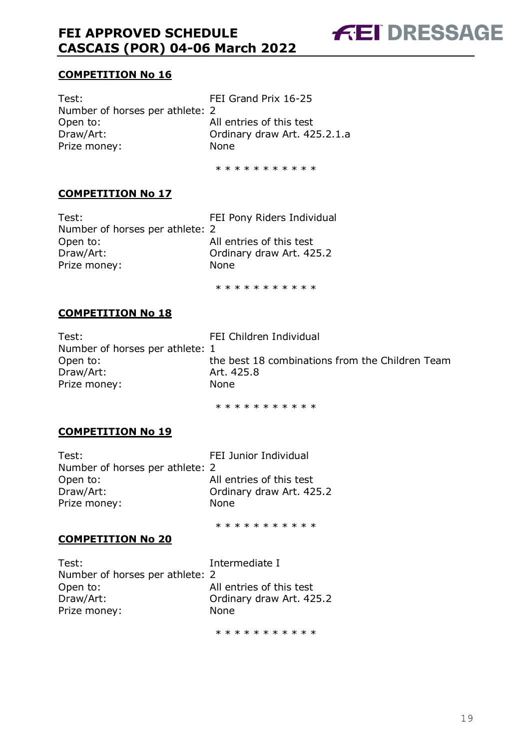**FEI DRESSAGE** 

#### **COMPETITION No 16**

Test: Test: FEI Grand Prix 16-25 Number of horses per athlete: 2 Open to: All entries of this test Draw/Art: Ordinary draw Art. 425.2.1.a Prize money: None

\* \* \* \* \* \* \* \* \* \*

#### **COMPETITION No 17**

Test: Test: FEI Pony Riders Individual Number of horses per athlete: 2 Open to: All entries of this test Draw/Art: Ordinary draw Art. 425.2 Prize money: None

\* \* \* \* \* \* \* \* \* \*

#### **COMPETITION No 18**

| Test:                           | FEI Children Individual                         |
|---------------------------------|-------------------------------------------------|
| Number of horses per athlete: 1 |                                                 |
| Open to:                        | the best 18 combinations from the Children Team |
| Draw/Art:                       | Art. 425.8                                      |
| Prize money:                    | <b>None</b>                                     |
|                                 |                                                 |

\* \* \* \* \* \* \* \* \* \*

#### **COMPETITION No 19**

| Test:                           | FEI Junior Individual    |
|---------------------------------|--------------------------|
| Number of horses per athlete: 2 |                          |
| Open to:                        | All entries of this test |
| Draw/Art:                       | Ordinary draw Art. 425.2 |
| Prize money:                    | None                     |
|                                 |                          |

\* \* \* \* \* \* \* \* \* \*

#### **COMPETITION No 20**

Test: Intermediate I Number of horses per athlete: 2 Open to: All entries of this test Draw/Art: Ordinary draw Art. 425.2 Prize money: None

\* \* \* \* \* \* \* \* \* \*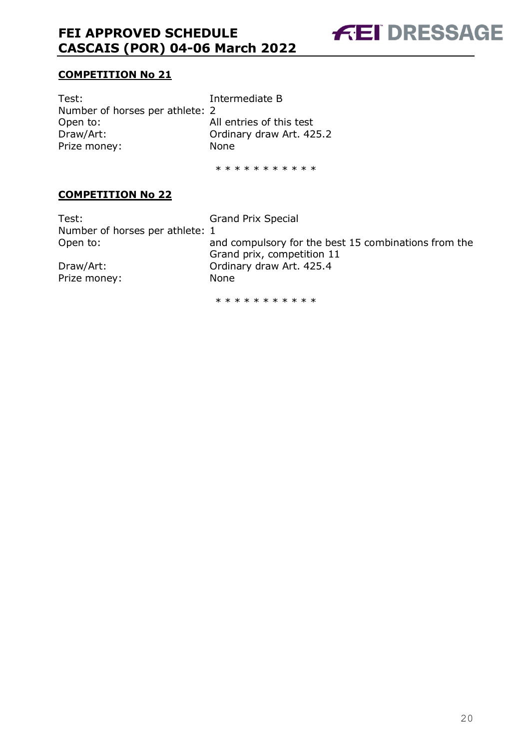**FEI DRESSAGE** 

#### **COMPETITION No 21**

Test: Intermediate B Number of horses per athlete: 2 Open to: All entries of this test Draw/Art: Ordinary draw Art. 425.2 Prize money: None

\* \* \* \* \* \* \* \* \* \*

#### **COMPETITION No 22**

Test: Grand Prix Special Number of horses per athlete: 1 Open to: and compulsory for the best 15 combinations from the Grand prix, competition 11 Draw/Art: Ordinary draw Art. 425.4 Prize money: None \* \* \* \* \* \* \* \* \* \*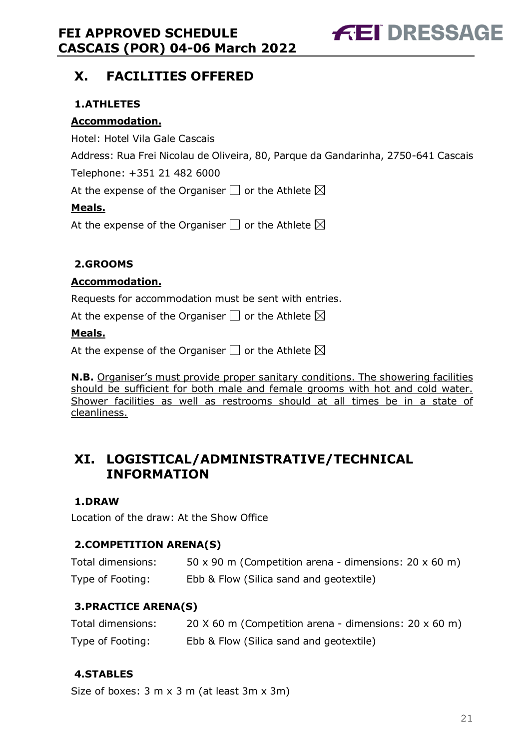**FEI DRESSAGE** 

# <span id="page-20-0"></span>**X. FACILITIES OFFERED**

### <span id="page-20-1"></span>**1.ATHLETES**

#### **Accommodation.**

Hotel: Hotel Vila Gale Cascais

Address: Rua Frei Nicolau de Oliveira, 80, Parque da Gandarinha, 2750-641 Cascais

Telephone: +351 21 482 6000

At the expense of the Organiser  $\Box$  or the Athlete  $\boxtimes$ 

#### **Meals.**

At the expense of the Organiser  $\Box$  or the Athlete  $\boxtimes$ 

#### <span id="page-20-2"></span>**2.GROOMS**

#### **Accommodation.**

Requests for accommodation must be sent with entries.

At the expense of the Organiser  $\square$  or the Athlete  $\boxtimes$ 

#### **Meals.**

At the expense of the Organiser  $\square$  or the Athlete  $\boxtimes$ 

**N.B.** Organiser's must provide proper sanitary conditions. The showering facilities should be sufficient for both male and female grooms with hot and cold water. Shower facilities as well as restrooms should at all times be in a state of cleanliness.

# <span id="page-20-3"></span>**XI. LOGISTICAL/ADMINISTRATIVE/TECHNICAL INFORMATION**

#### <span id="page-20-4"></span>**1.DRAW**

Location of the draw: At the Show Office

### <span id="page-20-5"></span>**2.COMPETITION ARENA(S)**

| Total dimensions: | 50 x 90 m (Competition arena - dimensions: $20 \times 60$ m) |
|-------------------|--------------------------------------------------------------|
| Type of Footing:  | Ebb & Flow (Silica sand and geotextile)                      |

### <span id="page-20-6"></span>**3.PRACTICE ARENA(S)**

| Total dimensions: | 20 $\times$ 60 m (Competition arena - dimensions: 20 $\times$ 60 m) |
|-------------------|---------------------------------------------------------------------|
| Type of Footing:  | Ebb & Flow (Silica sand and geotextile)                             |

#### <span id="page-20-7"></span>**4.STABLES**

Size of boxes: 3 m x 3 m (at least 3m x 3m)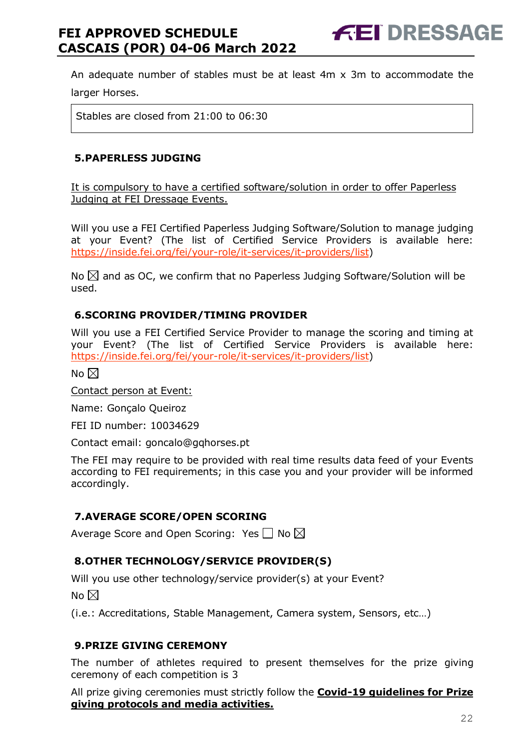An adequate number of stables must be at least 4m x 3m to accommodate the

larger Horses.

Stables are closed from 21:00 to 06:30

#### <span id="page-21-0"></span>**5.PAPERLESS JUDGING**

It is compulsory to have a certified software/solution in order to offer Paperless Judging at FEI Dressage Events.

Will you use a FEI Certified Paperless Judging Software/Solution to manage judging at your Event? (The list of Certified Service Providers is available here: [https://inside.fei.org/fei/your-role/it-services/it-providers/list\)](https://inside.fei.org/fei/your-role/it-services/it-providers/list)

No  $\boxtimes$  and as OC, we confirm that no Paperless Judging Software/Solution will be used.

#### <span id="page-21-1"></span>**6.SCORING PROVIDER/TIMING PROVIDER**

Will you use a FEI Certified Service Provider to manage the scoring and timing at your Event? (The list of Certified Service Providers is available here: [https://inside.fei.org/fei/your-role/it-services/it-providers/list\)](https://inside.fei.org/fei/your-role/it-services/it-providers/list)

No  $\boxtimes$ 

Contact person at Event:

Name: Gonçalo Queiroz

FEI ID number: 10034629

Contact email: goncalo@gqhorses.pt

The FEI may require to be provided with real time results data feed of your Events according to FEI requirements; in this case you and your provider will be informed accordingly.

#### <span id="page-21-2"></span>**7.AVERAGE SCORE/OPEN SCORING**

Average Score and Open Scoring: Yes  $\Box$  No  $\boxtimes$ 

#### <span id="page-21-3"></span>**8.OTHER TECHNOLOGY/SERVICE PROVIDER(S)**

Will you use other technology/service provider(s) at your Event?

No  $\boxtimes$ 

(i.e.: Accreditations, Stable Management, Camera system, Sensors, etc…)

#### <span id="page-21-4"></span>**9.PRIZE GIVING CEREMONY**

The number of athletes required to present themselves for the prize giving ceremony of each competition is 3

All prize giving ceremonies must strictly follow the **Covid-19 guidelines for Prize giving protocols and media activities.**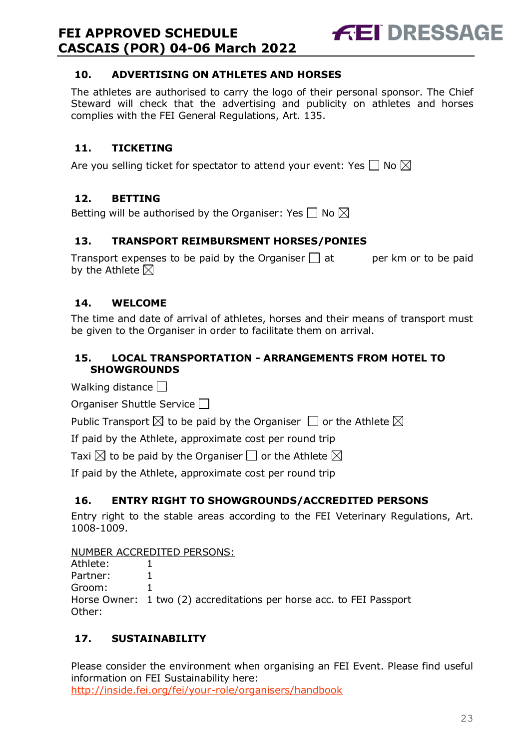<span id="page-22-0"></span>

The athletes are authorised to carry the logo of their personal sponsor. The Chief Steward will check that the advertising and publicity on athletes and horses complies with the FEI General Regulations, Art. 135.

**FEI DRESSAGE** 

#### <span id="page-22-1"></span>**11. TICKETING**

Are you selling ticket for spectator to attend your event: Yes  $\Box$  No  $\boxtimes$ 

#### <span id="page-22-2"></span>**12. BETTING**

Betting will be authorised by the Organiser: Yes  $\Box$  No  $\boxtimes$ 

#### <span id="page-22-3"></span>**13. TRANSPORT REIMBURSMENT HORSES/PONIES**

Transport expenses to be paid by the Organiser  $\Box$  at early per km or to be paid by the Athlete  $\boxtimes$ 

#### <span id="page-22-4"></span>**14. WELCOME**

The time and date of arrival of athletes, horses and their means of transport must be given to the Organiser in order to facilitate them on arrival.

#### <span id="page-22-5"></span>**15. LOCAL TRANSPORTATION - ARRANGEMENTS FROM HOTEL TO SHOWGROUNDS**

Walking distance  $\Box$ 

Organiser Shuttle Service

Public Transport  $\boxtimes$  to be paid by the Organiser  $\Box$  or the Athlete  $\boxtimes$ 

If paid by the Athlete, approximate cost per round trip

Taxi  $\boxtimes$  to be paid by the Organiser  $\Box$  or the Athlete  $\boxtimes$ 

If paid by the Athlete, approximate cost per round trip

#### <span id="page-22-6"></span>**16. ENTRY RIGHT TO SHOWGROUNDS/ACCREDITED PERSONS**

Entry right to the stable areas according to the FEI Veterinary Regulations, Art. 1008-1009.

#### NUMBER ACCREDITED PERSONS:

Athlete: 1 Partner: 1 Groom: 1 Horse Owner: 1 two (2) accreditations per horse acc. to FEI Passport Other:

#### <span id="page-22-7"></span>**17. SUSTAINABILITY**

Please consider the environment when organising an FEI Event. Please find useful information on FEI Sustainability here: <http://inside.fei.org/fei/your-role/organisers/handbook>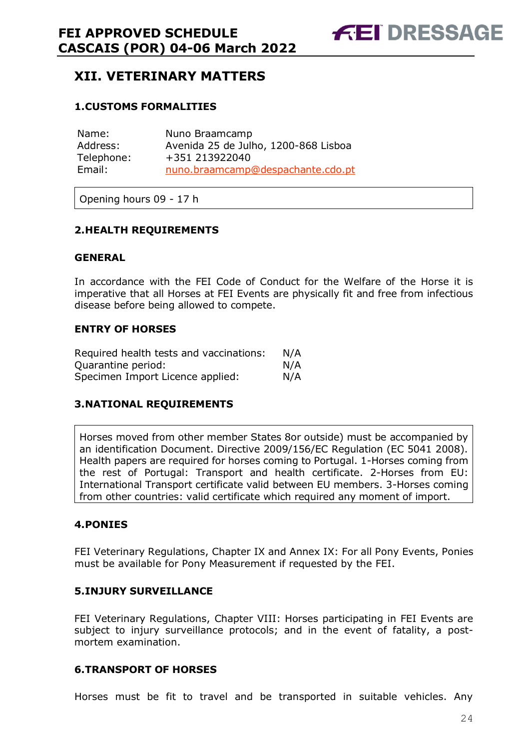# <span id="page-23-0"></span>**XII. VETERINARY MATTERS**

#### <span id="page-23-1"></span>**1.CUSTOMS FORMALITIES**

| Name:      | Nuno Braamcamp                       |
|------------|--------------------------------------|
| Address:   | Avenida 25 de Julho, 1200-868 Lisboa |
| Telephone: | +351 213922040                       |
| Email:     | nuno.braamcamp@despachante.cdo.pt    |

Opening hours 09 - 17 h

#### <span id="page-23-2"></span>**2.HEALTH REQUIREMENTS**

#### **GENERAL**

In accordance with the FEI Code of Conduct for the Welfare of the Horse it is imperative that all Horses at FEI Events are physically fit and free from infectious disease before being allowed to compete.

#### **ENTRY OF HORSES**

| Required health tests and vaccinations: | N/A |
|-----------------------------------------|-----|
| Ouarantine period:                      | N/A |
| Specimen Import Licence applied:        | N/A |

#### <span id="page-23-3"></span>**3.NATIONAL REQUIREMENTS**

Horses moved from other member States 8or outside) must be accompanied by an identification Document. Directive 2009/156/EC Regulation (EC 5041 2008). Health papers are required for horses coming to Portugal. 1-Horses coming from the rest of Portugal: Transport and health certificate. 2-Horses from EU: International Transport certificate valid between EU members. 3-Horses coming from other countries: valid certificate which required any moment of import.

#### <span id="page-23-4"></span>**4.PONIES**

FEI Veterinary Regulations, Chapter IX and Annex IX: For all Pony Events, Ponies must be available for Pony Measurement if requested by the FEI.

#### <span id="page-23-5"></span>**5.INJURY SURVEILLANCE**

FEI Veterinary Regulations, Chapter VIII: Horses participating in FEI Events are subject to injury surveillance protocols; and in the event of fatality, a postmortem examination.

#### <span id="page-23-6"></span>**6.TRANSPORT OF HORSES**

Horses must be fit to travel and be transported in suitable vehicles. Any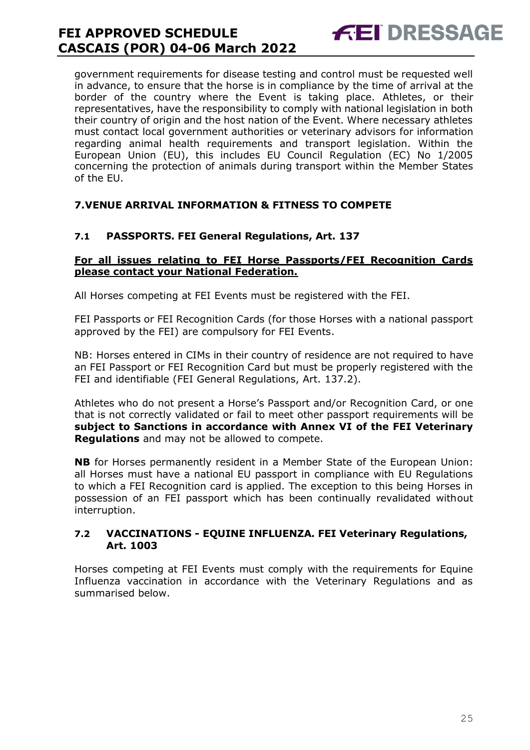government requirements for disease testing and control must be requested well in advance, to ensure that the horse is in compliance by the time of arrival at the border of the country where the Event is taking place. Athletes, or their representatives, have the responsibility to comply with national legislation in both their country of origin and the host nation of the Event. Where necessary athletes must contact local government authorities or veterinary advisors for information regarding animal health requirements and transport legislation. Within the European Union (EU), this includes EU Council Regulation (EC) No 1/2005 concerning the protection of animals during transport within the Member States of the EU.

**FEI DRESSAGE** 

#### <span id="page-24-0"></span>**7.VENUE ARRIVAL INFORMATION & FITNESS TO COMPETE**

#### **7.1 PASSPORTS. FEI General Regulations, Art. 137**

#### **For all issues relating to FEI Horse Passports/FEI Recognition Cards please contact your National Federation.**

All Horses competing at FEI Events must be registered with the FEI.

FEI Passports or FEI Recognition Cards (for those Horses with a national passport approved by the FEI) are compulsory for FEI Events.

NB: Horses entered in CIMs in their country of residence are not required to have an FEI Passport or FEI Recognition Card but must be properly registered with the FEI and identifiable (FEI General Regulations, Art. 137.2).

Athletes who do not present a Horse's Passport and/or Recognition Card, or one that is not correctly validated or fail to meet other passport requirements will be **subject to Sanctions in accordance with Annex VI of the FEI Veterinary Regulations** and may not be allowed to compete.

**NB** for Horses permanently resident in a Member State of the European Union: all Horses must have a national EU passport in compliance with EU Regulations to which a FEI Recognition card is applied. The exception to this being Horses in possession of an FEI passport which has been continually revalidated without interruption.

#### **7.2 VACCINATIONS - EQUINE INFLUENZA. FEI Veterinary Regulations, Art. 1003**

Horses competing at FEI Events must comply with the requirements for Equine Influenza vaccination in accordance with the Veterinary Regulations and as summarised below.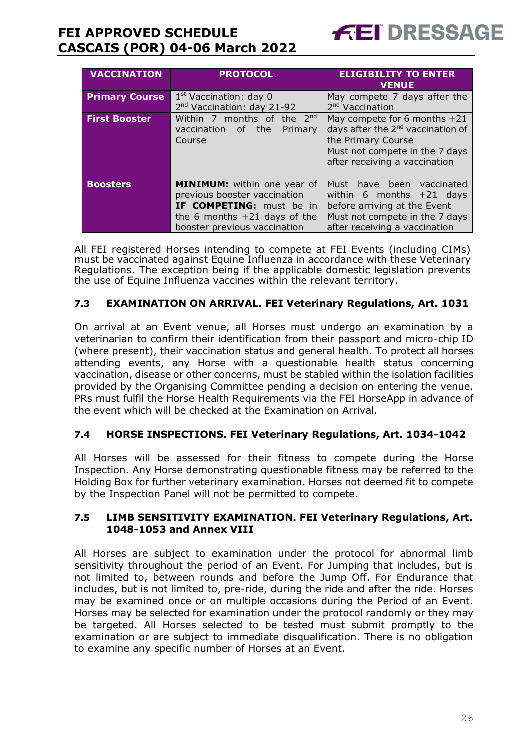

| <b>VACCINATION</b>    | <b>PROTOCOL</b>                                                                                                                                           | <b>ELIGIBILITY TO ENTER</b><br><b>VENUE</b>                                                                                                                            |
|-----------------------|-----------------------------------------------------------------------------------------------------------------------------------------------------------|------------------------------------------------------------------------------------------------------------------------------------------------------------------------|
| <b>Primary Course</b> | $1st$ Vaccination: day 0<br>2 <sup>nd</sup> Vaccination: day 21-92                                                                                        | May compete 7 days after the<br>2 <sup>nd</sup> Vaccination                                                                                                            |
| <b>First Booster</b>  | Within 7 months of the $2^{nd}$<br>vaccination of the<br>Primary<br>Course                                                                                | May compete for 6 months +21<br>days after the 2 <sup>nd</sup> vaccination of<br>the Primary Course<br>Must not compete in the 7 days<br>after receiving a vaccination |
| <b>Boosters</b>       | MINIMUM: within one year of<br>previous booster vaccination<br>IF COMPETING: must be in<br>the 6 months $+21$ days of the<br>booster previous vaccination | Must have been vaccinated<br>within 6 months $+21$ days<br>before arriving at the Event<br>Must not compete in the 7 days<br>after receiving a vaccination             |

All FEI registered Horses intending to compete at FEI Events (including CIMs) must be vaccinated against Equine Influenza in accordance with these Veterinary Regulations. The exception being if the applicable domestic legislation prevents the use of Equine Influenza vaccines within the relevant territory.

#### **7.3 EXAMINATION ON ARRIVAL. FEI Veterinary Regulations, Art. 1031**

On arrival at an Event venue, all Horses must undergo an examination by a veterinarian to confirm their identification from their passport and micro-chip ID (where present), their vaccination status and general health. To protect all horses attending events, any Horse with a questionable health status concerning vaccination, disease or other concerns, must be stabled within the isolation facilities provided by the Organising Committee pending a decision on entering the venue. PRs must fulfil the Horse Health Requirements via the FEI HorseApp in advance of the event which will be checked at the Examination on Arrival.

#### **7.4 HORSE INSPECTIONS. FEI Veterinary Regulations, Art. 1034-1042**

All Horses will be assessed for their fitness to compete during the Horse Inspection. Any Horse demonstrating questionable fitness may be referred to the Holding Box for further veterinary examination. Horses not deemed fit to compete by the Inspection Panel will not be permitted to compete.

#### **7.5 LIMB SENSITIVITY EXAMINATION. FEI Veterinary Regulations, Art. 1048-1053 and Annex VIII**

All Horses are subject to examination under the protocol for abnormal limb sensitivity throughout the period of an Event. For Jumping that includes, but is not limited to, between rounds and before the Jump Off. For Endurance that includes, but is not limited to, pre-ride, during the ride and after the ride. Horses may be examined once or on multiple occasions during the Period of an Event. Horses may be selected for examination under the protocol randomly or they may be targeted. All Horses selected to be tested must submit promptly to the examination or are subject to immediate disqualification. There is no obligation to examine any specific number of Horses at an Event.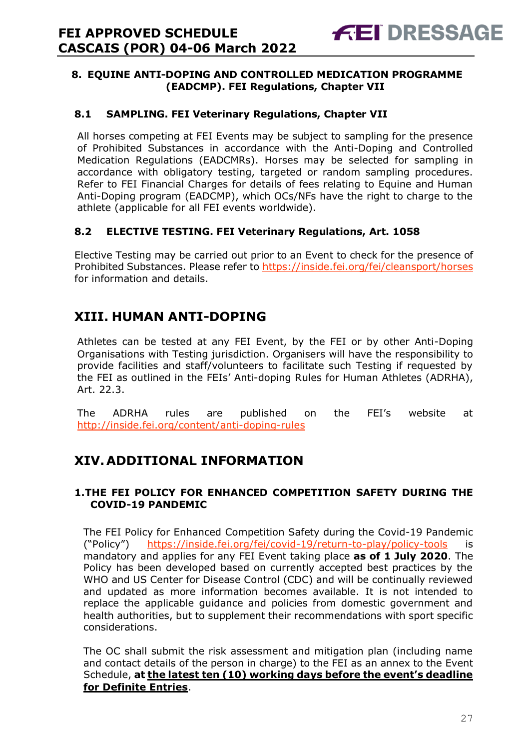#### <span id="page-26-0"></span>**8. EQUINE ANTI-DOPING AND CONTROLLED MEDICATION PROGRAMME (EADCMP). FEI Regulations, Chapter VII**

#### **8.1 SAMPLING. FEI Veterinary Regulations, Chapter VII**

All horses competing at FEI Events may be subject to sampling for the presence of Prohibited Substances in accordance with the Anti-Doping and Controlled Medication Regulations (EADCMRs). Horses may be selected for sampling in accordance with obligatory testing, targeted or random sampling procedures. Refer to FEI Financial Charges for details of fees relating to Equine and Human Anti-Doping program (EADCMP), which OCs/NFs have the right to charge to the athlete (applicable for all FEI events worldwide).

#### **8.2 ELECTIVE TESTING. FEI Veterinary Regulations, Art. 1058**

Elective Testing may be carried out prior to an Event to check for the presence of Prohibited Substances. Please refer to https://inside.fei.org/fei/cleansport/horses for information and details.

# <span id="page-26-1"></span>**XIII. HUMAN ANTI-DOPING**

Athletes can be tested at any FEI Event, by the FEI or by other Anti-Doping Organisations with Testing jurisdiction. Organisers will have the responsibility to provide facilities and staff/volunteers to facilitate such Testing if requested by the FEI as outlined in the FEIs' Anti-doping Rules for Human Athletes (ADRHA), Art. 22.3.

The ADRHA rules are published on the FEI's website at <http://inside.fei.org/content/anti-doping-rules>

# <span id="page-26-2"></span>**XIV.ADDITIONAL INFORMATION**

#### <span id="page-26-3"></span>**1.THE FEI POLICY FOR ENHANCED COMPETITION SAFETY DURING THE COVID-19 PANDEMIC**

The FEI Policy for Enhanced Competition Safety during the Covid-19 Pandemic ("Policy") <https://inside.fei.org/fei/covid-19/return-to-play/policy-tools> is mandatory and applies for any FEI Event taking place **as of 1 July 2020**. The Policy has been developed based on currently accepted best practices by the WHO and US Center for Disease Control (CDC) and will be continually reviewed and updated as more information becomes available. It is not intended to replace the applicable guidance and policies from domestic government and health authorities, but to supplement their recommendations with sport specific considerations.

The OC shall submit the risk assessment and mitigation plan (including name and contact details of the person in charge) to the FEI as an annex to the Event Schedule, **at the latest ten (10) working days before the event's deadline for Definite Entries**.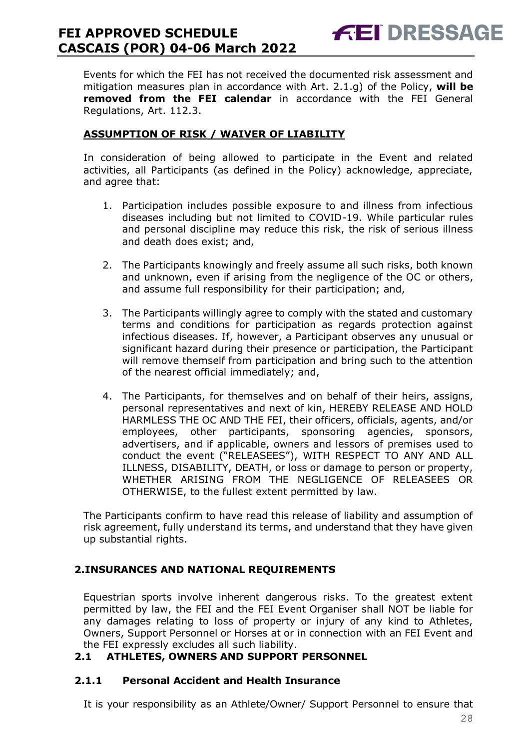Events for which the FEI has not received the documented risk assessment and mitigation measures plan in accordance with Art. 2.1.g) of the Policy, **will be removed from the FEI calendar** in accordance with the FEI General Regulations, Art. 112.3.

**FEI DRESSAGE** 

#### **ASSUMPTION OF RISK / WAIVER OF LIABILITY**

In consideration of being allowed to participate in the Event and related activities, all Participants (as defined in the Policy) acknowledge, appreciate, and agree that:

- 1. Participation includes possible exposure to and illness from infectious diseases including but not limited to COVID-19. While particular rules and personal discipline may reduce this risk, the risk of serious illness and death does exist; and,
- 2. The Participants knowingly and freely assume all such risks, both known and unknown, even if arising from the negligence of the OC or others, and assume full responsibility for their participation; and,
- 3. The Participants willingly agree to comply with the stated and customary terms and conditions for participation as regards protection against infectious diseases. If, however, a Participant observes any unusual or significant hazard during their presence or participation, the Participant will remove themself from participation and bring such to the attention of the nearest official immediately; and,
- 4. The Participants, for themselves and on behalf of their heirs, assigns, personal representatives and next of kin, HEREBY RELEASE AND HOLD HARMLESS THE OC AND THE FEI, their officers, officials, agents, and/or employees, other participants, sponsoring agencies, sponsors, advertisers, and if applicable, owners and lessors of premises used to conduct the event ("RELEASEES"), WITH RESPECT TO ANY AND ALL ILLNESS, DISABILITY, DEATH, or loss or damage to person or property, WHETHER ARISING FROM THE NEGLIGENCE OF RELEASEES OR OTHERWISE, to the fullest extent permitted by law.

The Participants confirm to have read this release of liability and assumption of risk agreement, fully understand its terms, and understand that they have given up substantial rights.

#### <span id="page-27-0"></span>**2.INSURANCES AND NATIONAL REQUIREMENTS**

Equestrian sports involve inherent dangerous risks. To the greatest extent permitted by law, the FEI and the FEI Event Organiser shall NOT be liable for any damages relating to loss of property or injury of any kind to Athletes, Owners, Support Personnel or Horses at or in connection with an FEI Event and the FEI expressly excludes all such liability.

#### **2.1 ATHLETES, OWNERS AND SUPPORT PERSONNEL**

#### **2.1.1 Personal Accident and Health Insurance**

It is your responsibility as an Athlete/Owner/ Support Personnel to ensure that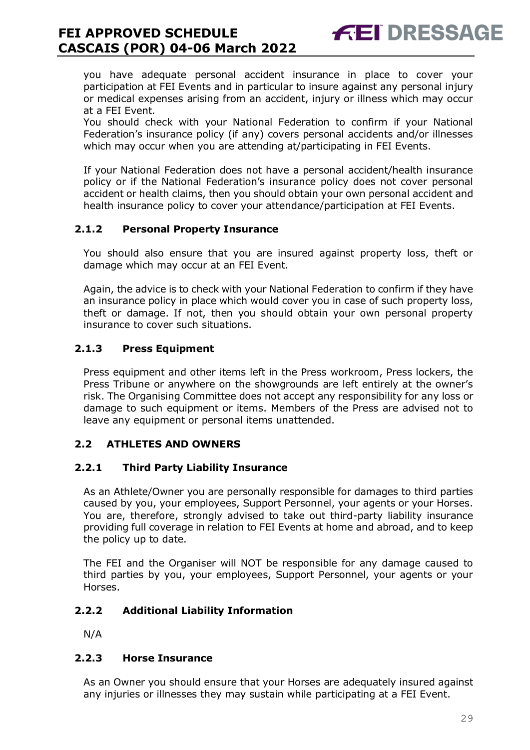you have adequate personal accident insurance in place to cover your participation at FEI Events and in particular to insure against any personal injury or medical expenses arising from an accident, injury or illness which may occur at a FEI Event.

**FEI DRESSAGE** 

You should check with your National Federation to confirm if your National Federation's insurance policy (if any) covers personal accidents and/or illnesses which may occur when you are attending at/participating in FEI Events.

If your National Federation does not have a personal accident/health insurance policy or if the National Federation's insurance policy does not cover personal accident or health claims, then you should obtain your own personal accident and health insurance policy to cover your attendance/participation at FEI Events.

#### **2.1.2 Personal Property Insurance**

You should also ensure that you are insured against property loss, theft or damage which may occur at an FEI Event.

Again, the advice is to check with your National Federation to confirm if they have an insurance policy in place which would cover you in case of such property loss, theft or damage. If not, then you should obtain your own personal property insurance to cover such situations.

#### **2.1.3 Press Equipment**

Press equipment and other items left in the Press workroom, Press lockers, the Press Tribune or anywhere on the showgrounds are left entirely at the owner's risk. The Organising Committee does not accept any responsibility for any loss or damage to such equipment or items. Members of the Press are advised not to leave any equipment or personal items unattended.

#### **2.2 ATHLETES AND OWNERS**

#### **2.2.1 Third Party Liability Insurance**

As an Athlete/Owner you are personally responsible for damages to third parties caused by you, your employees, Support Personnel, your agents or your Horses. You are, therefore, strongly advised to take out third-party liability insurance providing full coverage in relation to FEI Events at home and abroad, and to keep the policy up to date.

The FEI and the Organiser will NOT be responsible for any damage caused to third parties by you, your employees, Support Personnel, your agents or your Horses.

#### **2.2.2 Additional Liability Information**

N/A

#### **2.2.3 Horse Insurance**

As an Owner you should ensure that your Horses are adequately insured against any injuries or illnesses they may sustain while participating at a FEI Event.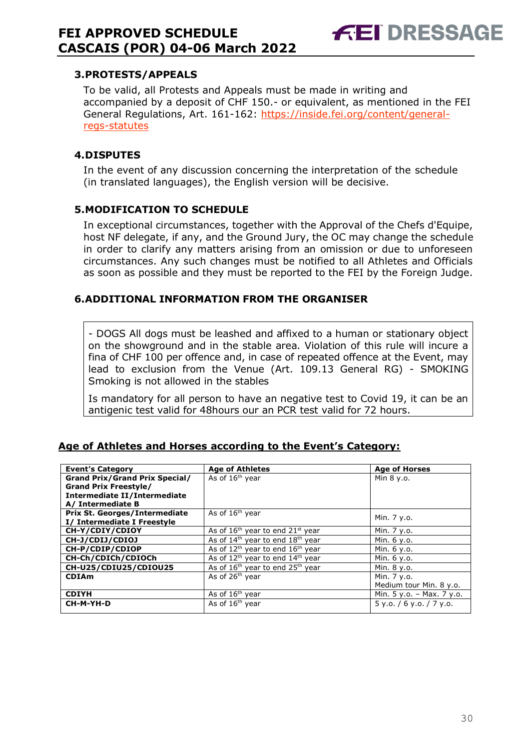#### <span id="page-29-0"></span>**3.PROTESTS/APPEALS**

To be valid, all Protests and Appeals must be made in writing and accompanied by a deposit of CHF 150.- or equivalent, as mentioned in the FEI General Regulations, Art. 161-162: [https://inside.fei.org/content/general](https://inside.fei.org/content/general-regs-statutes)[regs-statutes](https://inside.fei.org/content/general-regs-statutes)

#### <span id="page-29-1"></span>**4.DISPUTES**

In the event of any discussion concerning the interpretation of the schedule (in translated languages), the English version will be decisive.

#### <span id="page-29-2"></span>**5.MODIFICATION TO SCHEDULE**

In exceptional circumstances, together with the Approval of the Chefs d'Equipe, host NF delegate, if any, and the Ground Jury, the OC may change the schedule in order to clarify any matters arising from an omission or due to unforeseen circumstances. Any such changes must be notified to all Athletes and Officials as soon as possible and they must be reported to the FEI by the Foreign Judge.

#### <span id="page-29-3"></span>**6.ADDITIONAL INFORMATION FROM THE ORGANISER**

- DOGS All dogs must be leashed and affixed to a human or stationary object on the showground and in the stable area. Violation of this rule will incure a fina of CHF 100 per offence and, in case of repeated offence at the Event, may lead to exclusion from the Venue (Art. 109.13 General RG) - SMOKING Smoking is not allowed in the stables

Is mandatory for all person to have an negative test to Covid 19, it can be an antigenic test valid for 48hours our an PCR test valid for 72 hours.

| <b>Event's Category</b>               | <b>Age of Athletes</b>                                   | <b>Age of Horses</b>        |
|---------------------------------------|----------------------------------------------------------|-----------------------------|
| <b>Grand Prix/Grand Prix Special/</b> | As of 16 <sup>th</sup> year                              | Min 8 y.o.                  |
| <b>Grand Prix Freestyle/</b>          |                                                          |                             |
| Intermediate II/Intermediate          |                                                          |                             |
| A/ Intermediate B                     |                                                          |                             |
| <b>Prix St. Georges/Intermediate</b>  | As of 16 <sup>th</sup> year                              |                             |
| I/ Intermediate I Freestyle           |                                                          | Min. 7 y.o.                 |
| CH-Y/CDIY/CDIOY                       | As of $16th$ year to end $21st$ year                     | Min. 7 y.o.                 |
| CH-J/CDIJ/CDIOJ                       | As of $14th$ year to end $18th$ year                     | Min. 6 y.o.                 |
| CH-P/CDIP/CDIOP                       | As of $12th$ year to end $16th$ year                     | Min. 6 y.o.                 |
| CH-Ch/CDICh/CDIOCh                    | As of $12^{th}$ year to end $14^{th}$ year               | Min. 6 y.o.                 |
| CH-U25/CDIU25/CDIOU25                 | As of 16 <sup>th</sup> year to end 25 <sup>th</sup> year | Min. 8 y.o.                 |
| <b>CDIAm</b>                          | As of 26 <sup>th</sup> vear                              | Min. 7 y.o.                 |
|                                       |                                                          | Medium tour Min. 8 y.o.     |
| <b>CDIYH</b>                          | As of $16th$ year                                        | Min. $5 y.o. - Max. 7 y.o.$ |
| CH-M-YH-D                             | As of 16 <sup>th</sup> year                              | $5$ y.o. / 6 y.o. / 7 y.o.  |
|                                       |                                                          |                             |

#### **Age of Athletes and Horses according to the Event's Category:**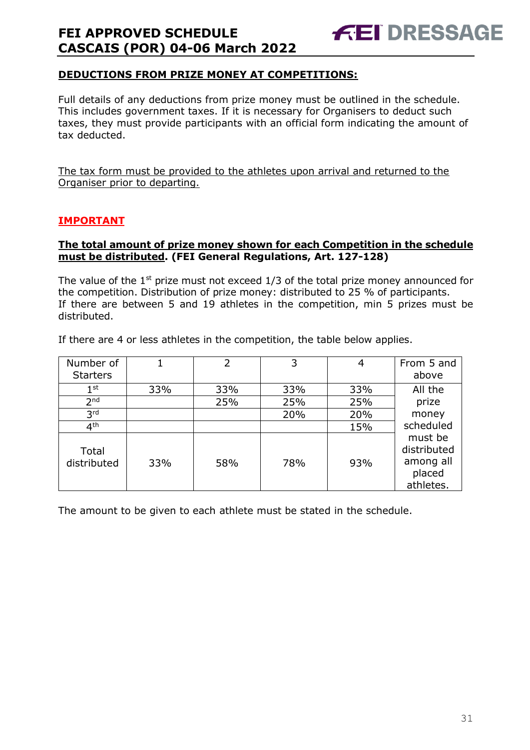#### **DEDUCTIONS FROM PRIZE MONEY AT COMPETITIONS:**

Full details of any deductions from prize money must be outlined in the schedule. This includes government taxes. If it is necessary for Organisers to deduct such taxes, they must provide participants with an official form indicating the amount of tax deducted.

The tax form must be provided to the athletes upon arrival and returned to the Organiser prior to departing.

#### **IMPORTANT**

#### **The total amount of prize money shown for each Competition in the schedule must be distributed. (FEI General Regulations, Art. 127-128)**

The value of the  $1<sup>st</sup>$  prize must not exceed  $1/3$  of the total prize money announced for the competition. Distribution of prize money: distributed to 25 % of participants. If there are between 5 and 19 athletes in the competition, min 5 prizes must be distributed.

If there are 4 or less athletes in the competition, the table below applies.

| Number of<br><b>Starters</b> |     | 2   | 3   | 4   | From 5 and<br>above                                        |
|------------------------------|-----|-----|-----|-----|------------------------------------------------------------|
| $1^{\rm st}$                 | 33% | 33% | 33% | 33% | All the                                                    |
| 2 <sub>nd</sub>              |     | 25% | 25% | 25% | prize                                                      |
| 3 <sup>rd</sup>              |     |     | 20% | 20% | money                                                      |
| 4 <sup>th</sup>              |     |     |     | 15% | scheduled                                                  |
| Total<br>distributed         | 33% | 58% | 78% | 93% | must be<br>distributed<br>among all<br>placed<br>athletes. |

The amount to be given to each athlete must be stated in the schedule.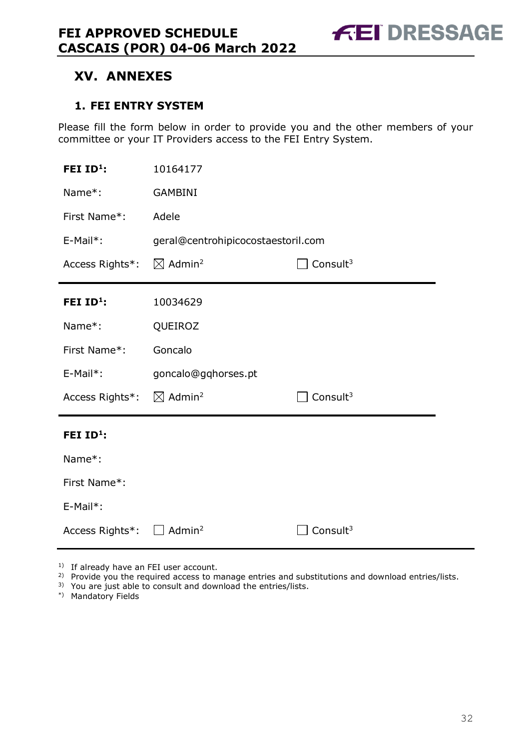# <span id="page-31-0"></span>**XV. ANNEXES**

#### <span id="page-31-1"></span>**1. FEI ENTRY SYSTEM**

Please fill the form below in order to provide you and the other members of your committee or your IT Providers access to the FEI Entry System.

| FEI $ID^1$ :    | 10164177                                               |                      |  |  |
|-----------------|--------------------------------------------------------|----------------------|--|--|
| Name*:          | <b>GAMBINI</b>                                         |                      |  |  |
| First Name*:    | Adele                                                  |                      |  |  |
| E-Mail*:        | geral@centrohipicocostaestoril.com                     |                      |  |  |
| Access Rights*: | $\boxtimes$ Admin <sup>2</sup><br>Consult <sup>3</sup> |                      |  |  |
| FEI $ID1$ :     | 10034629                                               |                      |  |  |
| Name*:          | QUEIROZ                                                |                      |  |  |
| First Name*:    | Goncalo                                                |                      |  |  |
| $E-Mail*$ :     | goncalo@gqhorses.pt                                    |                      |  |  |
| Access Rights*: | $\boxtimes$ Admin <sup>2</sup><br>Consult $3$          |                      |  |  |
| FEI $ID^1$ :    |                                                        |                      |  |  |
| Name*:          |                                                        |                      |  |  |
| First Name*:    |                                                        |                      |  |  |
| E-Mail*:        |                                                        |                      |  |  |
| Access Rights*: | Admin <sup>2</sup>                                     | Consult <sup>3</sup> |  |  |

<sup>1)</sup> If already have an FEI user account.

- <sup>2)</sup> Provide you the required access to manage entries and substitutions and download entries/lists.
- 3) You are just able to consult and download the entries/lists.
- \*) Mandatory Fields